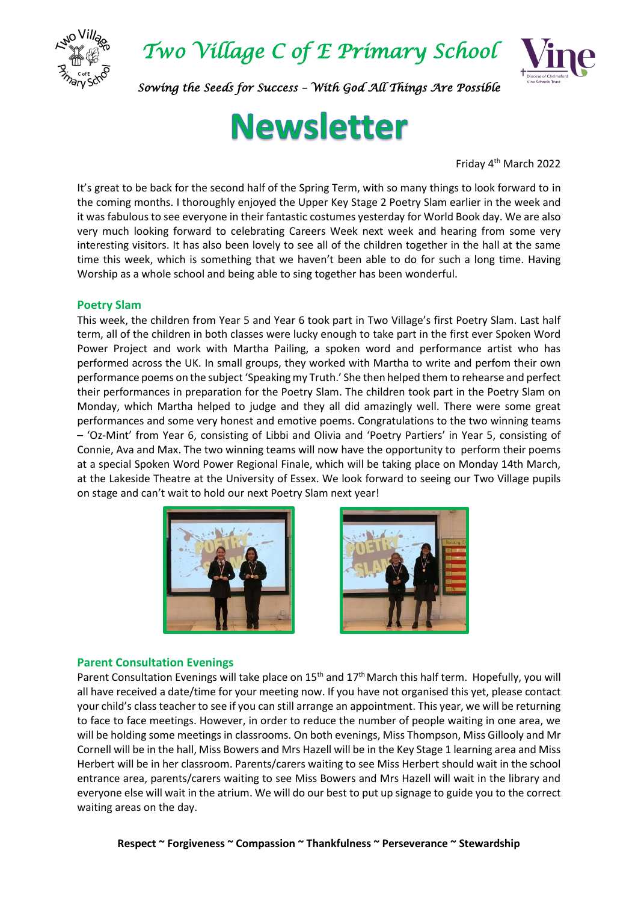

*Two Village C of E Primary School* 



*Sowing the Seeds for Success – With God All Things Are Possible* 

# **Newsletter**

Friday 4 th March 2022

It's great to be back for the second half of the Spring Term, with so many things to look forward to in the coming months. I thoroughly enjoyed the Upper Key Stage 2 Poetry Slam earlier in the week and it was fabulous to see everyone in their fantastic costumes yesterday for World Book day. We are also very much looking forward to celebrating Careers Week next week and hearing from some very interesting visitors. It has also been lovely to see all of the children together in the hall at the same time this week, which is something that we haven't been able to do for such a long time. Having Worship as a whole school and being able to sing together has been wonderful.

#### **Poetry Slam**

This week, the children from Year 5 and Year 6 took part in Two Village's first Poetry Slam. Last half term, all of the children in both classes were lucky enough to take part in the first ever Spoken Word Power Project and work with Martha Pailing, a spoken word and performance artist who has performed across the UK. In small groups, they worked with Martha to write and perfom their own performance poems on the subject 'Speaking my Truth.' She then helped them to rehearse and perfect their performances in preparation for the Poetry Slam. The children took part in the Poetry Slam on Monday, which Martha helped to judge and they all did amazingly well. There were some great performances and some very honest and emotive poems. Congratulations to the two winning teams – 'Oz-Mint' from Year 6, consisting of Libbi and Olivia and 'Poetry Partiers' in Year 5, consisting of Connie, Ava and Max. The two winning teams will now have the opportunity to perform their poems at a special Spoken Word Power Regional Finale, which will be taking place on Monday 14th March, at the Lakeside Theatre at the University of Essex. We look forward to seeing our Two Village pupils on stage and can't wait to hold our next Poetry Slam next year!





#### **Parent Consultation Evenings**

Parent Consultation Evenings will take place on  $15<sup>th</sup>$  and  $17<sup>th</sup>$  March this half term. Hopefully, you will all have received a date/time for your meeting now. If you have not organised this yet, please contact your child's class teacher to see if you can still arrange an appointment. This year, we will be returning to face to face meetings. However, in order to reduce the number of people waiting in one area, we will be holding some meetings in classrooms. On both evenings, Miss Thompson, Miss Gillooly and Mr Cornell will be in the hall, Miss Bowers and Mrs Hazell will be in the Key Stage 1 learning area and Miss Herbert will be in her classroom. Parents/carers waiting to see Miss Herbert should wait in the school entrance area, parents/carers waiting to see Miss Bowers and Mrs Hazell will wait in the library and everyone else will wait in the atrium. We will do our best to put up signage to guide you to the correct waiting areas on the day.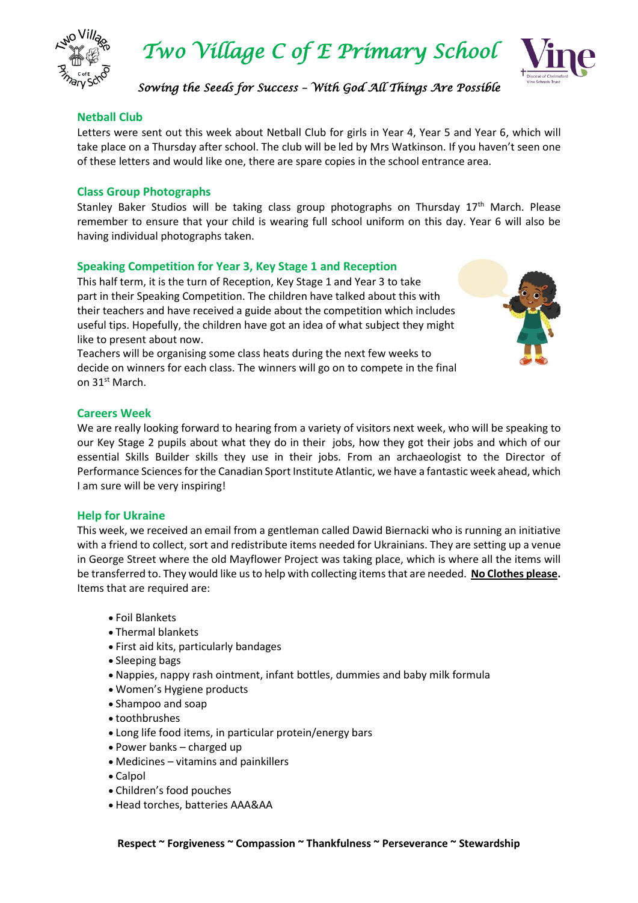

*Two Village C of E Primary School* 



*Sowing the Seeds for Success – With God All Things Are Possible* 

#### **Netball Club**

Letters were sent out this week about Netball Club for girls in Year 4, Year 5 and Year 6, which will take place on a Thursday after school. The club will be led by Mrs Watkinson. If you haven't seen one of these letters and would like one, there are spare copies in the school entrance area.

#### **Class Group Photographs**

Stanley Baker Studios will be taking class group photographs on Thursday  $17<sup>th</sup>$  March. Please remember to ensure that your child is wearing full school uniform on this day. Year 6 will also be having individual photographs taken.

#### **Speaking Competition for Year 3, Key Stage 1 and Reception**

This half term, it is the turn of Reception, Key Stage 1 and Year 3 to take part in their Speaking Competition. The children have talked about this with their teachers and have received a guide about the competition which includes useful tips. Hopefully, the children have got an idea of what subject they might like to present about now.

Teachers will be organising some class heats during the next few weeks to decide on winners for each class. The winners will go on to compete in the final on 31st March.



#### **Careers Week**

We are really looking forward to hearing from a variety of visitors next week, who will be speaking to our Key Stage 2 pupils about what they do in their jobs, how they got their jobs and which of our essential Skills Builder skills they use in their jobs. From an archaeologist to the Director of Performance Sciences for the Canadian Sport Institute Atlantic, we have a fantastic week ahead, which I am sure will be very inspiring!

#### **Help for Ukraine**

This week, we received an email from a gentleman called Dawid Biernacki who is running an initiative with a friend to collect, sort and redistribute items needed for Ukrainians. They are setting up a venue in George Street where the old Mayflower Project was taking place, which is where all the items will be transferred to. They would like us to help with collecting items that are needed. **No Clothes please.** Items that are required are:

- Foil Blankets
- Thermal blankets
- First aid kits, particularly bandages
- Sleeping bags
- Nappies, nappy rash ointment, infant bottles, dummies and baby milk formula
- Women's Hygiene products
- Shampoo and soap
- toothbrushes
- Long life food items, in particular protein/energy bars
- Power banks charged up
- Medicines vitamins and painkillers
- Calpol
- Children's food pouches
- Head torches, batteries AAA&AA